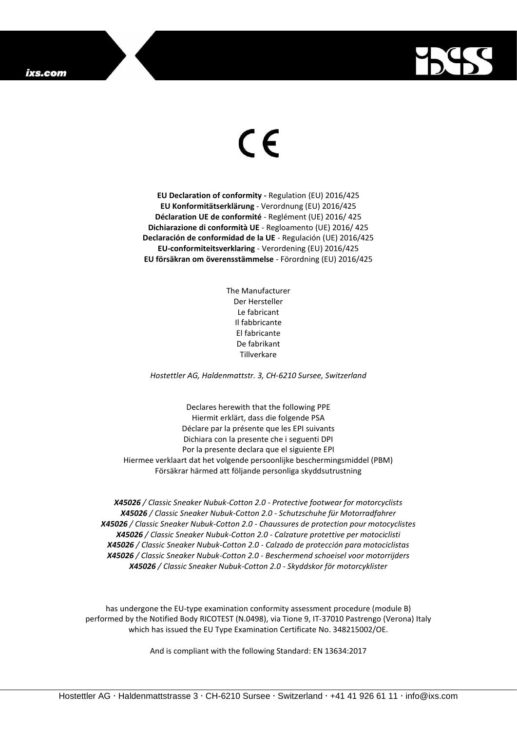## ixs.com



## $\epsilon$

**EU Declaration of conformity -** Regulation (EU) 2016/425 **EU Konformitätserklärung** - Verordnung (EU) 2016/425 **Déclaration UE de conformité** - Reglément (UE) 2016/ 425 **Dichiarazione di conformità UE** - Regloamento (UE) 2016/ 425 **Declaración de conformidad de la UE** - Regulación (UE) 2016/425 **EU-conformiteitsverklaring** - Verordening (EU) 2016/425 **EU försäkran om överensstämmelse** - Förordning (EU) 2016/425

> The Manufacturer Der Hersteller Le fabricant Il fabbricante El fabricante De fabrikant Tillverkare

*Hostettler AG, Haldenmattstr. 3, CH-6210 Sursee, Switzerland*

Declares herewith that the following PPE Hiermit erklärt, dass die folgende PSA Déclare par la présente que les EPI suivants Dichiara con la presente che i seguenti DPI Por la presente declara que el siguiente EPI Hiermee verklaart dat het volgende persoonlijke beschermingsmiddel (PBM) Försäkrar härmed att följande personliga skyddsutrustning

*X45026 / Classic Sneaker Nubuk-Cotton 2.0 - Protective footwear for motorcyclists X45026 / Classic Sneaker Nubuk-Cotton 2.0 - Schutzschuhe für Motorradfahrer X45026 / Classic Sneaker Nubuk-Cotton 2.0 - Chaussures de protection pour motocyclistes X45026 / Classic Sneaker Nubuk-Cotton 2.0 - Calzature protettive per motociclisti X45026 / Classic Sneaker Nubuk-Cotton 2.0 - Calzado de protección para motociclistas X45026 / Classic Sneaker Nubuk-Cotton 2.0 - Beschermend schoeisel voor motorrijders X45026 / Classic Sneaker Nubuk-Cotton 2.0 - Skyddskor för motorcyklister*

has undergone the EU-type examination conformity assessment procedure (module B) performed by the Notified Body RICOTEST (N.0498), via Tione 9, IT-37010 Pastrengo (Verona) Italy which has issued the EU Type Examination Certificate No. 348215002/OE.

And is compliant with the following Standard: EN 13634:2017